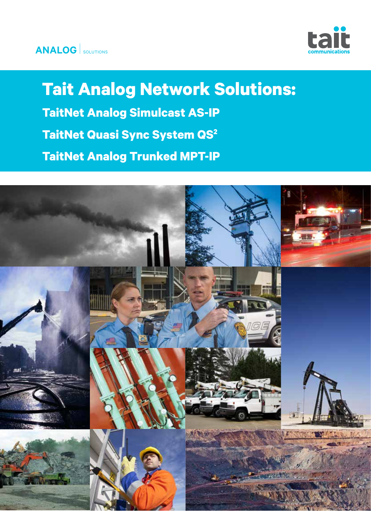

**Tait Analog Network Solutions: TaitNet Analog Simulcast AS-IP TaitNet Quasi Sync System QS2 TaitNet Analog Trunked MPT-IP**

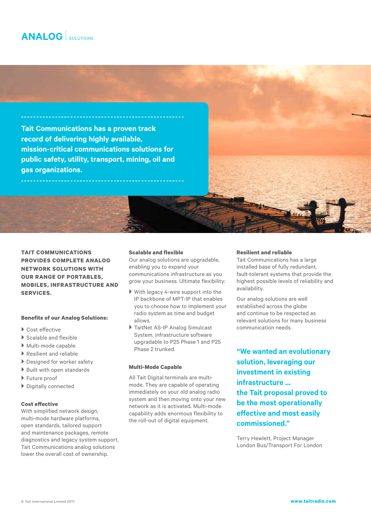**Tait Communications has a proven track record of delivering highly available, mission-critical communications solutions for public safety, utility, transport, mining, oil and gas organizations.**

**TAIT COMMUNICATIONS PROVIDES COMPLETE ANALOG NETWORK SOLUTIONS WITH OUR RANGE OF PORTABLES, MOBILES, INFRASTRUCTURE AND SERVICES.** 

#### **Benefits of our Analog Solutions:**

- ▶ Cost effective
- $\blacktriangleright$  Scalable and flexible
- } Multi-mode capable
- } Resilient and reliable
- ▶ Designed for worker safety
- ▶ Built with open standards
- } Future proof
- } Digitally connected

#### **Cost effective**

With simplified network design, multi-mode hardware platforms, open standards, tailored support and maintenance packages, remote diagnostics and legacy system support, Tait Communications analog solutions lower the overall cost of ownership.

#### **Scalable and flexible**

Our analog solutions are upgradable, enabling you to expand your communications infrastructure as you grow your business. Ultimate flexibility:

- } With legacy 4-wire support into the IP backbone of MPT-IP that enables you to choose how to implement your radio system as time and budget allows.
- } TaitNet AS-IP Analog Simulcast System, infrastructure software upgradable to P25 Phase 1 and P25 Phase 2 trunked.

#### **Multi-Mode Capable**

All Tait Digital terminals are multimode. They are capable of operating immediately on your old analog radio system and then moving onto your new network as it is activated. Multi-mode capability adds enormous flexibility to the roll-out of digital equipment.

#### **Resilient and reliable**

Tait Communications has a large installed base of fully redundant, fault-tolerant systems that provide the highest possible levels of reliability and availability.

Our analog solutions are well established across the globe and continue to be respected as relevant solutions for many business communication needs.

**"We wanted an evolutionary solution, leveraging our investment in existing infrastructure ... the Tait proposal proved to be the most operationally effective and most easily commissioned."**

Terry Hewlett, Project Manager London Bus/Transport For London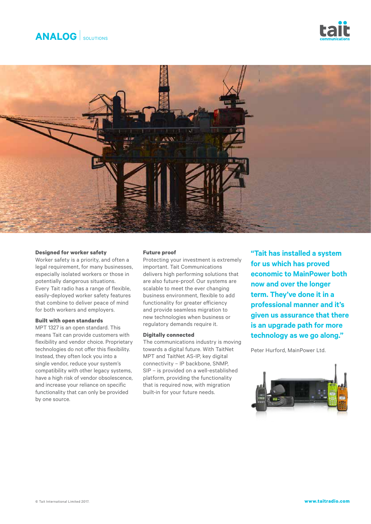





#### **Designed for worker safety**

Worker safety is a priority, and often a legal requirement, for many businesses, especially isolated workers or those in potentially dangerous situations. Every Tait radio has a range of flexible, easily-deployed worker safety features that combine to deliver peace of mind for both workers and employers.

#### **Built with open standards**

MPT 1327 is an open standard. This means Tait can provide customers with flexibility and vendor choice. Proprietary technologies do not offer this flexibility. Instead, they often lock you into a single vendor, reduce your system's compatibility with other legacy systems, have a high risk of vendor obsolescence, and increase your reliance on specific functionality that can only be provided by one source.

#### **Future proof**

Protecting your investment is extremely important. Tait Communications delivers high performing solutions that are also future-proof. Our systems are scalable to meet the ever changing business environment, flexible to add functionality for greater efficiency and provide seamless migration to new technologies when business or regulatory demands require it.

#### **Digitally connected**

The communications industry is moving towards a digital future. With TaitNet MPT and TaitNet AS-IP, key digital connectivity – IP backbone, SNMP, SIP – is provided on a well-established platform, providing the functionality that is required now, with migration built-in for your future needs.

**"Tait has installed a system for us which has proved economic to MainPower both now and over the longer term. They've done it in a professional manner and it's given us assurance that there is an upgrade path for more technology as we go along."** 

Peter Hurford, MainPower Ltd.

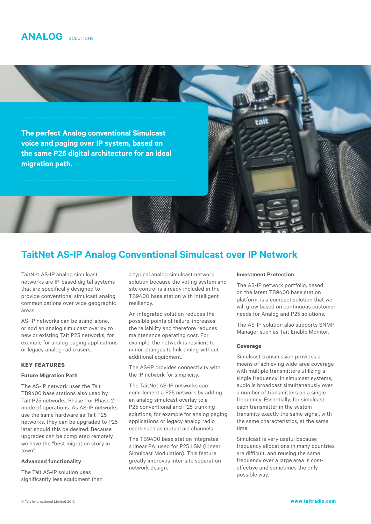

## **TaitNet AS-IP Analog Conventional Simulcast over IP Network**

TaitNet AS-IP analog simulcast networks are IP-based digital systems that are specifically designed to provide conventional simulcast analog communications over wide geographic areas.

AS-IP networks can be stand-alone, or add an analog simulcast overlay to new or existing Tait P25 networks, for example for analog paging applications or legacy analog radio users.

#### **KEY FEATURES**

#### **Future Migration Path**

The AS-IP network uses the Tait TB9400 base stations also used by Tait P25 networks, Phase 1 or Phase 2 mode of operations. As AS-IP networks use the same hardware as Tait P25 networks, they can be upgraded to P25 later should this be desired. Because upgrades can be completed remotely, we have the "best migration story in town".

#### **Advanced functionality**

The Tait AS-IP solution uses significantly less equipment than a typical analog simulcast network solution because the voting system and site control is already included in the TB9400 base station with intelligent resiliency.

An integrated solution reduces the possible points of failure, increases the reliability and therefore reduces maintenance operating cost. For example, the network is resilient to minor changes to link timing without additional equipment.

The AS-IP provides connectivity with the IP network for simplicity.

The TaitNet AS-IP networks can complement a P25 network by adding an analog simulcast overlay to a P25 conventional and P25 trunking solutions, for example for analog paging applications or legacy analog radio users such as mutual aid channels.

The TB9400 base station integrates a linear PA, used for P25 LSM (Linear Simulcast Modulation). This feature greatly improves inter-site separation network design.

#### **Investment Protection**

The AS-IP network portfolio, based on the latest TB9400 base station platform, is a compact solution that we will grow based on continuous customer needs for Analog and P25 solutions.

The AS-IP solution also supports SNMP Manager such as Tait Enable Monitor.

#### **Coverage**

Simulcast transmission provides a means of achieving wide-area coverage with multiple transmitters utilizing a single frequency. In simulcast systems, audio is broadcast simultaneously over a number of transmitters on a single frequency. Essentially, for simulcast each transmitter in the system transmits exactly the same signal, with the same characteristics, at the same time.

Simulcast is very useful because frequency allocations in many countries are difficult, and reusing the same frequency over a large area is costeffective and sometimes the only possible way.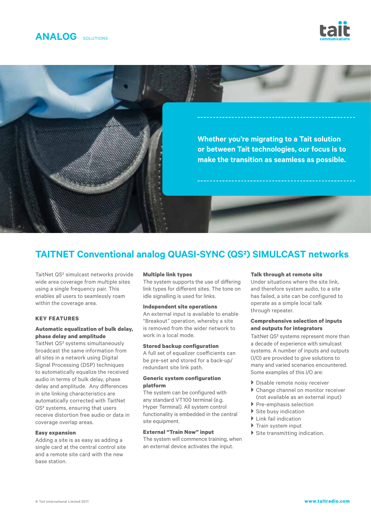





## **TAITNET Conventional analog QUASI-SYNC (QS²) SIMULCAST networks**

TaitNet QS² simulcast networks provide wide area coverage from multiple sites using a single frequency pair. This enables all users to seamlessly roam within the coverage area.

#### **KEY FEATURES**

#### **Automatic equalization of bulk delay, phase delay and amplitude**

TaitNet QS² systems simultaneously broadcast the same information from all sites in a network using Digital Signal Processing (DSP) techniques to automatically equalize the received audio in terms of bulk delay, phase delay and amplitude. Any differences in site linking characteristics are automatically corrected with TaitNet QS² systems, ensuring that users receive distortion free audio or data in coverage overlap areas.

#### **Easy expansion**

Adding a site is as easy as adding a single card at the central control site and a remote site card with the new base station.

#### **Multiple link types**

The system supports the use of differing link types for different sites. The tone on idle signalling is used for links.

#### **Independent site operations**

An external input is available to enable "Breakout" operation, whereby a site is removed from the wider network to work in a local mode.

#### **Stored backup configuration**

A full set of equalizer coefficients can be pre-set and stored for a back-up/ redundant site link path.

#### **Generic system configuration platform**

The system can be configured with any standard VT100 terminal (e.g. Hyper Terminal). All system control functionality is embedded in the central site equipment.

#### **External "Train Now" input**

The system will commence training, when an external device activates the input.

#### **Talk through at remote site**

Under situations where the site link, and therefore system audio, to a site has failed, a site can be configured to operate as a simple local talk through repeater.

#### **Comprehensive selection of inputs and outputs for integrators**

TaitNet QS² systems represent more than a decade of experience with simulcast systems. A number of inputs and outputs (I/O) are provided to give solutions to many and varied scenarios encountered. Some examples of this I/O are:

- **Disable remote noisy receiver**
- ▶ Change channel on monitor receiver (not available as an external input)
- } Pre-emphasis selection
- $\blacktriangleright$  Site busy indication
- ▶ Link fail indication
- } Train system input
- $\blacktriangleright$  Site transmitting indication.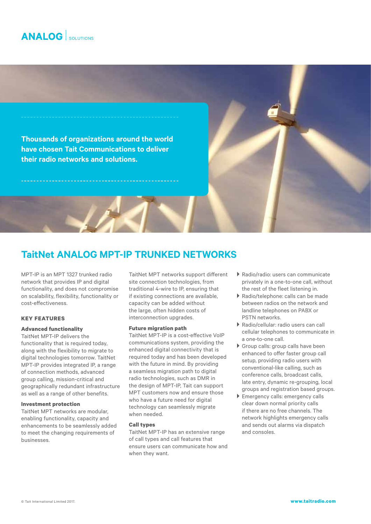**Thousands of organizations around the world have chosen Tait Communications to deliver their radio networks and solutions.**

### **TaitNet ANALOG MPT-IP TRUNKED NETWORKS**

MPT-IP is an MPT 1327 trunked radio network that provides IP and digital functionality, and does not compromise on scalability, flexibility, functionality or cost-effectiveness.

### **KEY FEATURES**

#### **Advanced functionality**

TaitNet MPT-IP delivers the functionality that is required today, along with the flexibility to migrate to digital technologies tomorrow. TaitNet MPT-IP provides integrated IP, a range of connection methods, advanced group calling, mission-critical and geographically redundant infrastructure as well as a range of other benefits.

#### **Investment protection**

TaitNet MPT networks are modular, enabling functionality, capacity and enhancements to be seamlessly added to meet the changing requirements of businesses.

TaitNet MPT networks support different site connection technologies, from traditional 4-wire to IP, ensuring that if existing connections are available, capacity can be added without the large, often hidden costs of interconnection upgrades.

#### **Future migration path**

TaitNet MPT-IP is a cost-effective VoIP communications system, providing the enhanced digital connectivity that is required today and has been developed with the future in mind. By providing a seamless migration path to digital radio technologies, such as DMR in the design of MPT-IP, Tait can support MPT customers now and ensure those who have a future need for digital technology can seamlessly migrate when needed.

#### **Call types**

TaitNet MPT-IP has an extensive range of call types and call features that ensure users can communicate how and when they want.

- } Radio/radio: users can communicate privately in a one-to-one call, without the rest of the fleet listening in.
- } Radio/telephone: calls can be made between radios on the network and landline telephones on PABX or PSTN networks.
- } Radio/cellular: radio users can call cellular telephones to communicate in a one-to-one call.
- } Group calls: group calls have been enhanced to offer faster group call setup, providing radio users with conventional-like calling, such as conference calls, broadcast calls, late entry, dynamic re-grouping, local groups and registration based groups.
- } Emergency calls: emergency calls clear down normal priority calls if there are no free channels. The network highlights emergency calls and sends out alarms via dispatch and consoles.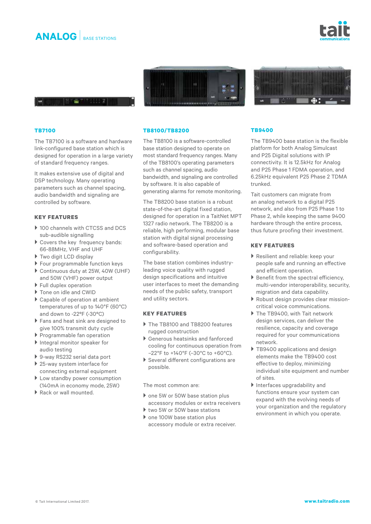







#### **TB7100**

The TB7100 is a software and hardware link-configured base station which is designed for operation in a large variety of standard frequency ranges.

It makes extensive use of digital and DSP technology. Many operating parameters such as channel spacing, audio bandwidth and signaling are controlled by software.

### **KEY FEATURES**

- ▶ 100 channels with CTCSS and DCS sub-audible signalling
- } Covers the key frequency bands: 66-88MHz, VHF and UHF
- ▶ Two digit LCD display
- } Four programmable function keys
- ▶ Continuous duty at 25W, 40W (UHF) and 50W (VHF) power output
- } Full duplex operation
- ▶ Tone on idle and CWID
- ▶ Capable of operation at ambient temperatures of up to 140°F (60°C) and down to -22ºF (-30ºC)
- ▶ Fans and heat sink are designed to give 100% transmit duty cycle
- } Programmable fan operation
- Integral monitor speaker for audio testing
- } 9-way RS232 serial data port
- ▶ 25-way system interface for
- connecting external equipment ▶ Low standby power consumption (140mA in economy mode, 25W)
- ▶ Rack or wall mounted.

#### **TB8100/TB8200**

The TB8100 is a software-controlled base station designed to operate on most standard frequency ranges. Many of the TB8100's operating parameters such as channel spacing, audio bandwidth, and signaling are controlled by software. It is also capable of generating alarms for remote monitoring.

The TB8200 base station is a robust state-of-the-art digital fixed station, designed for operation in a TaitNet MPT 1327 radio network. The TB8200 is a reliable, high performing, modular base station with digital signal processing and software-based operation and configurability.

The base station combines industryleading voice quality with rugged design specifications and intuitive user interfaces to meet the demanding needs of the public safety, transport and utility sectors.

#### **KEY FEATURES**

- ▶ The TB8100 and TB8200 features rugged construction
- } Generous heatsinks and fanforced cooling for continuous operation from –22°F to +140°F (–30°C to +60°C).
- } Several different configurations are possible.

#### The most common are:

- ▶ one 5W or 50W base station plus accessory modules or extra receivers
- ▶ two 5W or 50W base stations
- ▶ one 100W base station plus accessory module or extra receiver.

#### **TB9400**

The TB9400 base station is the flexible platform for both Analog Simulcast and P25 Digital solutions with IP connectivity. It is 12.5kHz for Analog and P25 Phase 1 FDMA operation, and 6.25kHz equivalent P25 Phase 2 TDMA trunked.

Tait customers can migrate from an analog network to a digital P25 network, and also from P25 Phase 1 to Phase 2, while keeping the same 9400 hardware through the entire process, thus future proofing their investment.

#### **KEY FEATURES**

- ▶ Resilient and reliable: keep your people safe and running an effective and efficient operation.
- $\blacktriangleright$  Benefit from the spectral efficiency, multi-vendor interoperability, security, migration and data capability.
- } Robust design provides clear missioncritical voice communications.
- ▶ The TB9400, with Tait network design services, can deliver the resilience, capacity and coverage required for your communications network.
- ▶ TB9400 applications and design elements make the TB9400 cost effective to deploy, minimizing individual site equipment and number of sites.
- } Interfaces upgradability and functions ensure your system can expand with the evolving needs of your organization and the regulatory environment in which you operate.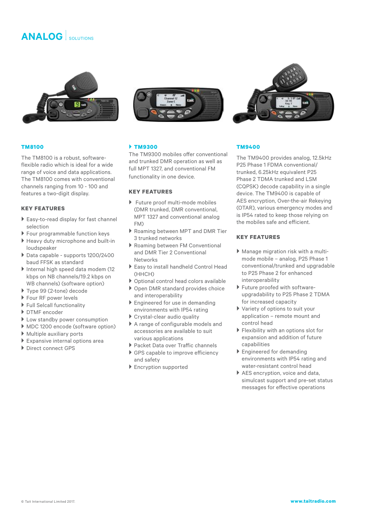

#### **TM8100**

The TM8100 is a robust, softwareflexible radio which is ideal for a wide range of voice and data applications. The TM8100 comes with conventional channels ranging from 10 - 100 and features a two-digit display.

#### **KEY FEATURES**

- ▶ Easy-to-read display for fast channel selection
- } Four programmable function keys
- } Heavy duty microphone and built-in loudspeaker
- } Data capable supports 1200/2400 baud FFSK as standard
- } Internal high speed data modem (12 kbps on NB channels/19.2 kbps on WB channels) (software option)
- } Type 99 (2-tone) decode
- ▶ Four RF power levels
- $\blacktriangleright$  Full Selcall functionality
- } DTMF encoder
- ▶ Low standby power consumption
- ▶ MDC 1200 encode (software option)
- } Multiple auxiliary ports
- } Expansive internal options area
- } Direct connect GPS



#### } **TM9300**

The TM9300 mobiles offer conventional and trunked DMR operation as well as full MPT 1327, and conventional FM functionality in one device.

#### **KEY FEATURES**

- ▶ Future proof multi-mode mobiles (DMR trunked, DMR conventional, MPT 1327 and conventional analog FM)
- } Roaming between MPT and DMR Tier 3 trunked networks
- } Roaming between FM Conventional and DMR Tier 2 Conventional Networks
- } Easy to install handheld Control Head (HHCH)
- } Optional control head colors available
- ▶ Open DMR standard provides choice and interoperability
- ▶ Engineered for use in demanding environments with IP54 rating
- } Crystal-clear audio quality
- } A range of configurable models and accessories are available to suit various applications
- ▶ Packet Data over Traffic channels
- ▶ GPS capable to improve efficiency and safety
- **Encryption supported**



#### **TM9400**

The TM9400 provides analog, 12.5kHz P25 Phase 1 FDMA conventional/ trunked, 6.25kHz equivalent P25 Phase 2 TDMA trunked and LSM (CQPSK) decode capability in a single device. The TM9400 is capable of AES encryption, Over-the-air Rekeying (OTAR), various emergency modes and is IP54 rated to keep those relying on the mobiles safe and efficient.

### **KEY FEATURES**

- } Manage migration risk with a multimode mobile – analog, P25 Phase 1 conventional/trunked and upgradable to P25 Phase 2 for enhanced interoperability
- } Future proofed with softwareupgradability to P25 Phase 2 TDMA for increased capacity
- } Variety of options to suit your application – remote mount and control head
- **Flexibility with an options slot for** expansion and addition of future capabilities
- **Engineered for demanding** environments with IP54 rating and water-resistant control head
- ▶ AES encryption, voice and data, simulcast support and pre-set status messages for effective operations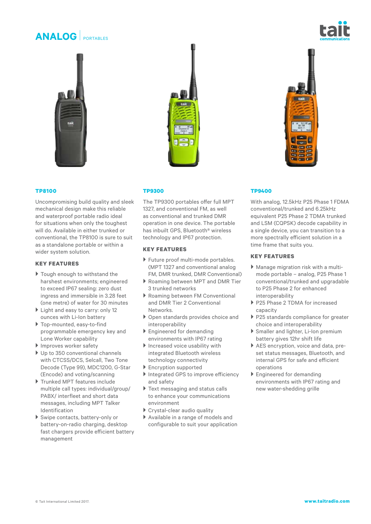# **ANALOG** PORTABLES





#### **TP8100**

Uncompromising build quality and sleek mechanical design make this reliable and waterproof portable radio ideal for situations when only the toughest will do. Available in either trunked or conventional, the TP8100 is sure to suit as a standalone portable or within a wider system solution.

#### **KEY FEATURES**

- ▶ Tough enough to withstand the harshest environments; engineered to exceed IP67 sealing: zero dust ingress and immersible in 3.28 feet (one metre) of water for 30 minutes
- } Light and easy to carry: only 12 ounces with Li-Ion battery
- } Top-mounted, easy-to-find programmable emergency key and Lone Worker capability
- Improves worker safety
- ▶ Up to 350 conventional channels with CTCSS/DCS, Selcall, Two Tone Decode (Type 99), MDC1200, G-Star (Encode) and voting/scanning
- } Trunked MPT features include multiple call types: individual/group/ PABX/ interfleet and short data messages, including MPT Talker Identification
- } Swipe contacts, battery-only or battery-on-radio charging, desktop fast chargers provide efficient battery management

#### **TP9300**

The TP9300 portables offer full MPT 1327, and conventional FM, as well as conventional and trunked DMR operation in one device. The portable has inbuilt GPS, Bluetooth® wireless technology and IP67 protection.

#### **KEY FEATURES**

- } Future proof multi-mode portables. (MPT 1327 and conventional analog FM, DMR trunked, DMR Conventional)
- ▶ Roaming between MPT and DMR Tier 3 trunked networks
- } Roaming between FM Conventional and DMR Tier 2 Conventional Networks.
- } Open standards provides choice and interoperability
- } Engineered for demanding environments with IP67 rating
- Increased voice usability with integrated Bluetooth wireless technology connectivity
- ▶ Encryption supported
- Integrated GPS to improve efficiency and safety
- ▶ Text messaging and status calls to enhance your communications environment
- } Crystal-clear audio quality
- } Available in a range of models and configurable to suit your application

#### **TP9400**

With analog, 12.5kHz P25 Phase 1 FDMA conventional/trunked and 6.25kHz equivalent P25 Phase 2 TDMA trunked and LSM (CQPSK) decode capability in a single device, you can transition to a more spectrally efficient solution in a time frame that suits you.

#### **KEY FEATURES**

- } Manage migration risk with a multimode portable – analog, P25 Phase 1 conventional/trunked and upgradable to P25 Phase 2 for enhanced interoperability
- P25 Phase 2 TDMA for increased capacity
- } P25 standards compliance for greater choice and interoperability
- } Smaller and lighter, Li-Ion premium battery gives 12hr shift life
- ▶ AES encryption, voice and data, preset status messages, Bluetooth, and internal GPS for safe and efficient operations
- ▶ Engineered for demanding environments with IP67 rating and new water-shedding grille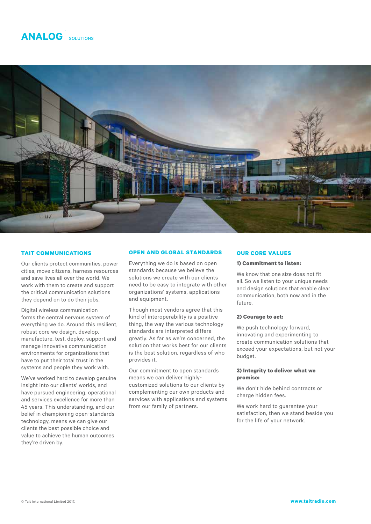

#### **TAIT COMMUNICATIONS**

Our clients protect communities, power cities, move citizens, harness resources and save lives all over the world. We work with them to create and support the critical communication solutions they depend on to do their jobs.

Digital wireless communication forms the central nervous system of everything we do. Around this resilient, robust core we design, develop, manufacture, test, deploy, support and manage innovative communication environments for organizations that have to put their total trust in the systems and people they work with.

We've worked hard to develop genuine insight into our clients' worlds, and have pursued engineering, operational and services excellence for more than 45 years. This understanding, and our belief in championing open-standards technology, means we can give our clients the best possible choice and value to achieve the human outcomes they're driven by.

#### **OPEN AND GLOBAL STANDARDS**

Everything we do is based on open standards because we believe the solutions we create with our clients need to be easy to integrate with other organizations' systems, applications and equipment.

Though most vendors agree that this kind of interoperability is a positive thing, the way the various technology standards are interpreted differs greatly. As far as we're concerned, the solution that works best for our clients is the best solution, regardless of who provides it.

Our commitment to open standards means we can deliver highlycustomized solutions to our clients by complementing our own products and services with applications and systems from our family of partners.

#### **OUR CORE VALUES**

#### **1) Commitment to listen:**

We know that one size does not fit all. So we listen to your unique needs and design solutions that enable clear communication, both now and in the future.

#### **2) Courage to act:**

We push technology forward, innovating and experimenting to create communication solutions that exceed your expectations, but not your budget.

#### **3) Integrity to deliver what we promise:**

We don't hide behind contracts or charge hidden fees.

We work hard to guarantee your satisfaction, then we stand beside you for the life of your network.